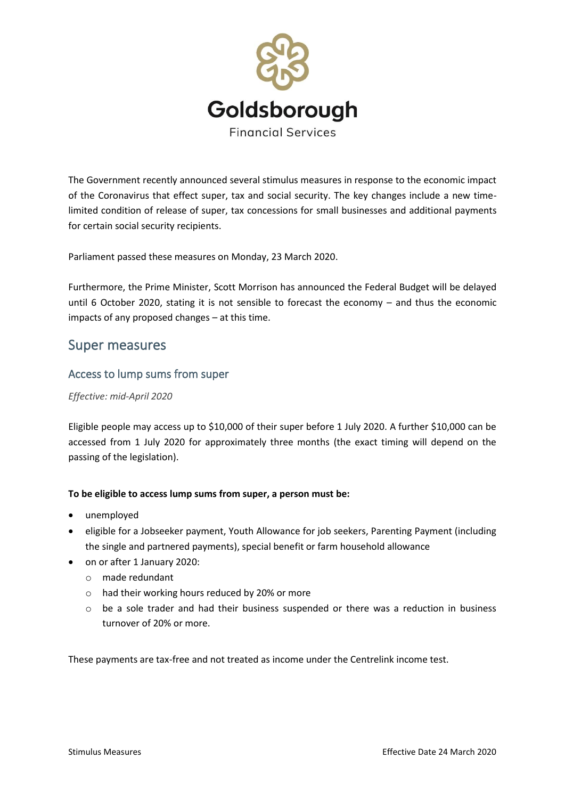

The Government recently announced several stimulus measures in response to the economic impact of the Coronavirus that effect super, tax and social security. The key changes include a new timelimited condition of release of super, tax concessions for small businesses and additional payments for certain social security recipients.

Parliament passed these measures on Monday, 23 March 2020.

Furthermore, the Prime Minister, Scott Morrison has announced the Federal Budget will be delayed until 6 October 2020, stating it is not sensible to forecast the economy – and thus the economic impacts of any proposed changes – at this time.

# Super measures

## Access to lump sums from super

#### *Effective: mid-April 2020*

Eligible people may access up to \$10,000 of their super before 1 July 2020. A further \$10,000 can be accessed from 1 July 2020 for approximately three months (the exact timing will depend on the passing of the legislation).

#### **To be eligible to access lump sums from super, a person must be:**

- unemployed
- eligible for a Jobseeker payment, Youth Allowance for job seekers, Parenting Payment (including the single and partnered payments), special benefit or farm household allowance
- on or after 1 January 2020:
	- o made redundant
	- o had their working hours reduced by 20% or more
	- $\circ$  be a sole trader and had their business suspended or there was a reduction in business turnover of 20% or more.

These payments are tax-free and not treated as income under the Centrelink income test.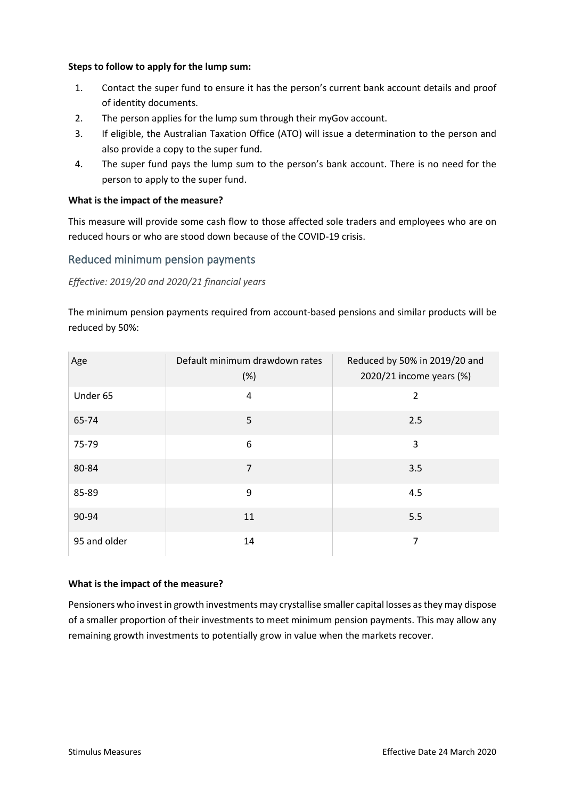#### **Steps to follow to apply for the lump sum:**

- 1. Contact the super fund to ensure it has the person's current bank account details and proof of identity documents.
- 2. The person applies for the lump sum through their myGov account.
- 3. If eligible, the Australian Taxation Office (ATO) will issue a determination to the person and also provide a copy to the super fund.
- 4. The super fund pays the lump sum to the person's bank account. There is no need for the person to apply to the super fund.

#### **What is the impact of the measure?**

This measure will provide some cash flow to those affected sole traders and employees who are on reduced hours or who are stood down because of the COVID-19 crisis.

# Reduced minimum pension payments

#### *Effective: 2019/20 and 2020/21 financial years*

The minimum pension payments required from account-based pensions and similar products will be reduced by 50%:

| Age          | Default minimum drawdown rates<br>(%) | Reduced by 50% in 2019/20 and<br>2020/21 income years (%) |
|--------------|---------------------------------------|-----------------------------------------------------------|
| Under 65     | 4                                     | $\overline{2}$                                            |
| 65-74        | 5                                     | 2.5                                                       |
| 75-79        | 6                                     | 3                                                         |
| 80-84        | $\overline{7}$                        | 3.5                                                       |
| 85-89        | 9                                     | 4.5                                                       |
| 90-94        | 11                                    | 5.5                                                       |
| 95 and older | 14                                    | 7                                                         |

#### **What is the impact of the measure?**

Pensioners who invest in growth investments may crystallise smaller capital losses as they may dispose of a smaller proportion of their investments to meet minimum pension payments. This may allow any remaining growth investments to potentially grow in value when the markets recover.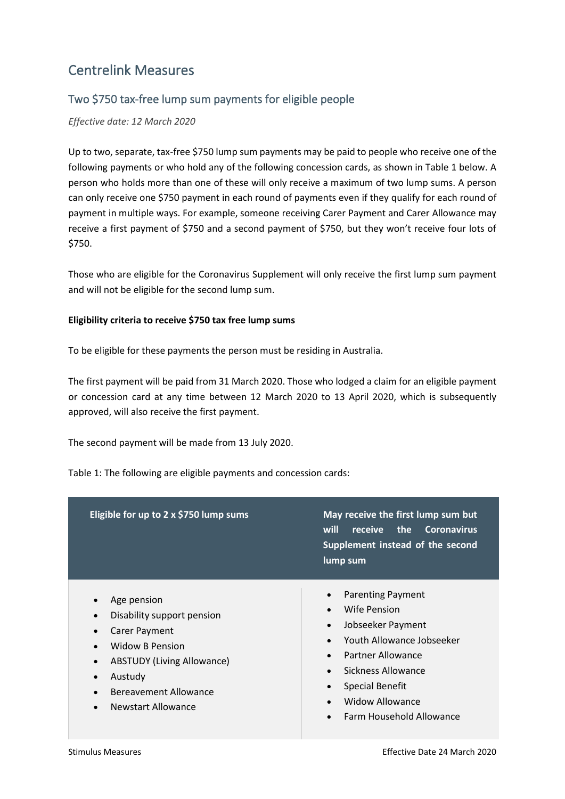# Centrelink Measures

# Two \$750 tax-free lump sum payments for eligible people

*Effective date: 12 March 2020*

Up to two, separate, tax-free \$750 lump sum payments may be paid to people who receive one of the following payments or who hold any of the following concession cards, as shown in Table 1 below. A person who holds more than one of these will only receive a maximum of two lump sums. A person can only receive one \$750 payment in each round of payments even if they qualify for each round of payment in multiple ways. For example, someone receiving Carer Payment and Carer Allowance may receive a first payment of \$750 and a second payment of \$750, but they won't receive four lots of \$750.

Those who are eligible for the Coronavirus Supplement will only receive the first lump sum payment and will not be eligible for the second lump sum.

#### **Eligibility criteria to receive \$750 tax free lump sums**

To be eligible for these payments the person must be residing in Australia.

The first payment will be paid from 31 March 2020. Those who lodged a claim for an eligible payment or concession card at any time between 12 March 2020 to 13 April 2020, which is subsequently approved, will also receive the first payment.

The second payment will be made from 13 July 2020.

Table 1: The following are eligible payments and concession cards:

| Eligible for up to 2 x \$750 lump sums                                                                                                                                                                                                                                                | May receive the first lump sum but<br>will<br>receive the<br><b>Coronavirus</b><br>Supplement instead of the second<br>lump sum                                                                                                                                                                                               |
|---------------------------------------------------------------------------------------------------------------------------------------------------------------------------------------------------------------------------------------------------------------------------------------|-------------------------------------------------------------------------------------------------------------------------------------------------------------------------------------------------------------------------------------------------------------------------------------------------------------------------------|
| Age pension<br>$\bullet$<br>Disability support pension<br>$\bullet$<br><b>Carer Payment</b><br>$\bullet$<br><b>Widow B Pension</b><br><b>ABSTUDY (Living Allowance)</b><br>$\bullet$<br>Austudy<br>$\bullet$<br>Bereavement Allowance<br>$\bullet$<br>Newstart Allowance<br>$\bullet$ | <b>Parenting Payment</b><br>$\bullet$<br>Wife Pension<br>$\bullet$<br>Jobseeker Payment<br>$\bullet$<br>Youth Allowance Jobseeker<br>Partner Allowance<br>$\bullet$<br>Sickness Allowance<br>$\bullet$<br><b>Special Benefit</b><br>$\bullet$<br><b>Widow Allowance</b><br>$\bullet$<br>Farm Household Allowance<br>$\bullet$ |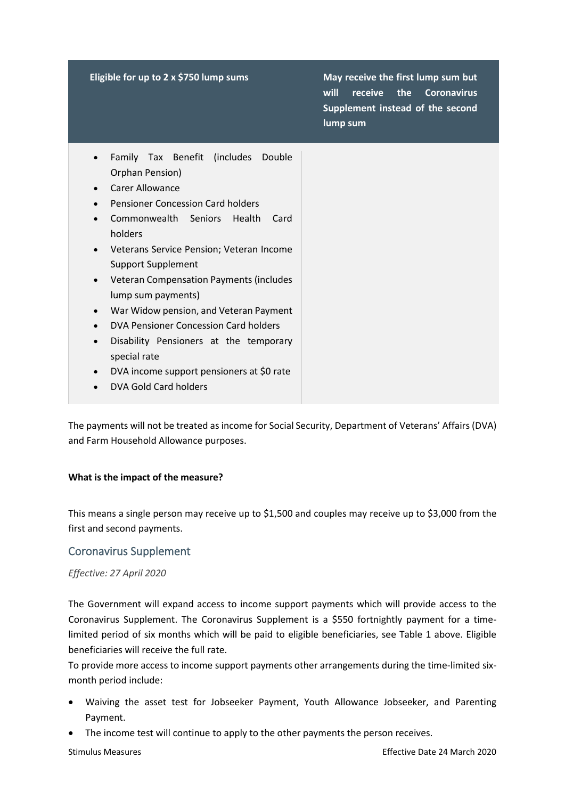| Eligible for up to 2 x \$750 lump sums                                                                                                                                                                                                                                                                                                                                                                                                                                                                                                                                                                                                                                                              | May receive the first lump sum but<br>will<br>receive<br>the<br><b>Coronavirus</b><br>Supplement instead of the second<br>lump sum |
|-----------------------------------------------------------------------------------------------------------------------------------------------------------------------------------------------------------------------------------------------------------------------------------------------------------------------------------------------------------------------------------------------------------------------------------------------------------------------------------------------------------------------------------------------------------------------------------------------------------------------------------------------------------------------------------------------------|------------------------------------------------------------------------------------------------------------------------------------|
| Family Tax Benefit<br>(includes<br>Double<br>$\bullet$<br>Orphan Pension)<br><b>Carer Allowance</b><br>$\bullet$<br><b>Pensioner Concession Card holders</b><br>$\bullet$<br>Commonwealth Seniors<br>Health<br>Card<br>$\bullet$<br>holders<br>Veterans Service Pension; Veteran Income<br>$\bullet$<br><b>Support Supplement</b><br>Veteran Compensation Payments (includes<br>$\bullet$<br>lump sum payments)<br>War Widow pension, and Veteran Payment<br>$\bullet$<br>DVA Pensioner Concession Card holders<br>$\bullet$<br>Disability Pensioners at the temporary<br>$\bullet$<br>special rate<br>DVA income support pensioners at \$0 rate<br>$\bullet$<br>DVA Gold Card holders<br>$\bullet$ |                                                                                                                                    |

The payments will not be treated as income for Social Security, Department of Veterans' Affairs (DVA) and Farm Household Allowance purposes.

### **What is the impact of the measure?**

This means a single person may receive up to \$1,500 and couples may receive up to \$3,000 from the first and second payments.

### Coronavirus Supplement

#### *Effective: 27 April 2020*

The Government will expand access to income support payments which will provide access to the Coronavirus Supplement. The Coronavirus Supplement is a \$550 fortnightly payment for a timelimited period of six months which will be paid to eligible beneficiaries, see Table 1 above. Eligible beneficiaries will receive the full rate.

To provide more access to income support payments other arrangements during the time-limited sixmonth period include:

- Waiving the asset test for Jobseeker Payment, Youth Allowance Jobseeker, and Parenting Payment.
- The income test will continue to apply to the other payments the person receives.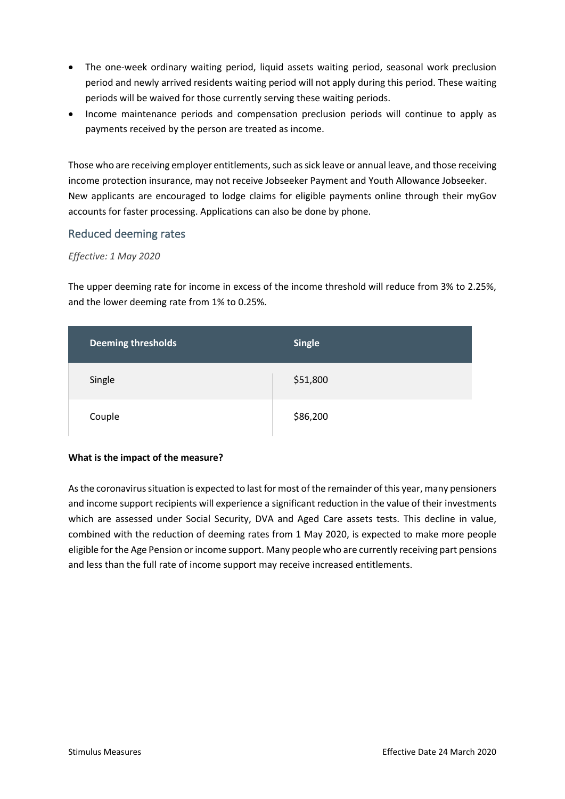- The one-week ordinary waiting period, liquid assets waiting period, seasonal work preclusion period and newly arrived residents waiting period will not apply during this period. These waiting periods will be waived for those currently serving these waiting periods.
- Income maintenance periods and compensation preclusion periods will continue to apply as payments received by the person are treated as income.

Those who are receiving employer entitlements, such as sick leave or annual leave, and those receiving income protection insurance, may not receive Jobseeker Payment and Youth Allowance Jobseeker. New applicants are encouraged to lodge claims for eligible payments online through their myGov accounts for faster processing. Applications can also be done by phone.

### Reduced deeming rates

#### *Effective: 1 May 2020*

The upper deeming rate for income in excess of the income threshold will reduce from 3% to 2.25%, and the lower deeming rate from 1% to 0.25%.

| <b>Deeming thresholds</b> | <b>Single</b> |
|---------------------------|---------------|
| Single                    | \$51,800      |
| Couple                    | \$86,200      |

#### **What is the impact of the measure?**

As the coronavirus situation is expected to last for most of the remainder of this year, many pensioners and income support recipients will experience a significant reduction in the value of their investments which are assessed under Social Security, DVA and Aged Care assets tests. This decline in value, combined with the reduction of deeming rates from 1 May 2020, is expected to make more people eligible for the Age Pension or income support. Many people who are currently receiving part pensions and less than the full rate of income support may receive increased entitlements.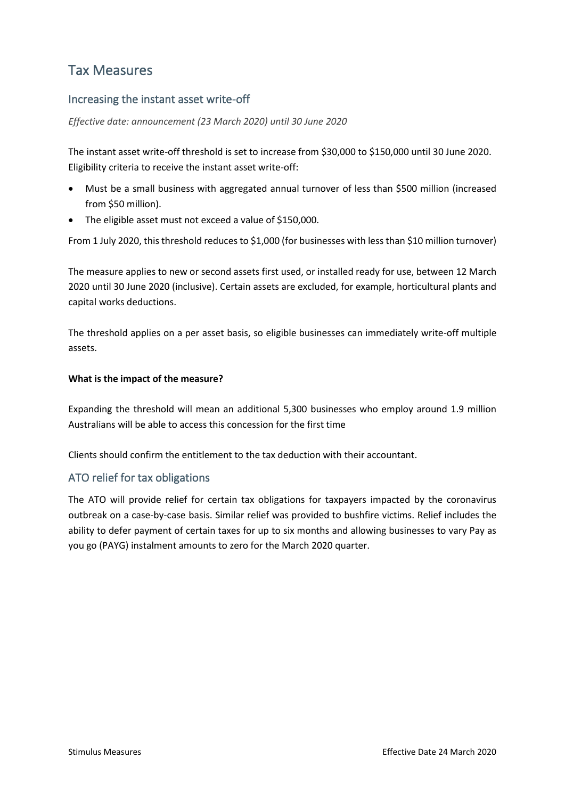# Tax Measures

## Increasing the instant asset write-off

*Effective date: announcement (23 March 2020) until 30 June 2020*

The instant asset write-off threshold is set to increase from \$30,000 to \$150,000 until 30 June 2020. Eligibility criteria to receive the instant asset write-off:

- Must be a small business with aggregated annual turnover of less than \$500 million (increased from \$50 million).
- The eligible asset must not exceed a value of \$150,000.

From 1 July 2020, this threshold reduces to \$1,000 (for businesses with less than \$10 million turnover)

The measure applies to new or second assets first used, or installed ready for use, between 12 March 2020 until 30 June 2020 (inclusive). Certain assets are excluded, for example, horticultural plants and capital works deductions.

The threshold applies on a per asset basis, so eligible businesses can immediately write-off multiple assets.

#### **What is the impact of the measure?**

Expanding the threshold will mean an additional 5,300 businesses who employ around 1.9 million Australians will be able to access this concession for the first time

Clients should confirm the entitlement to the tax deduction with their accountant.

# ATO relief for tax obligations

The ATO will provide relief for certain tax obligations for taxpayers impacted by the coronavirus outbreak on a case-by-case basis. Similar relief was provided to bushfire victims. Relief includes the ability to defer payment of certain taxes for up to six months and allowing businesses to vary Pay as you go (PAYG) instalment amounts to zero for the March 2020 quarter.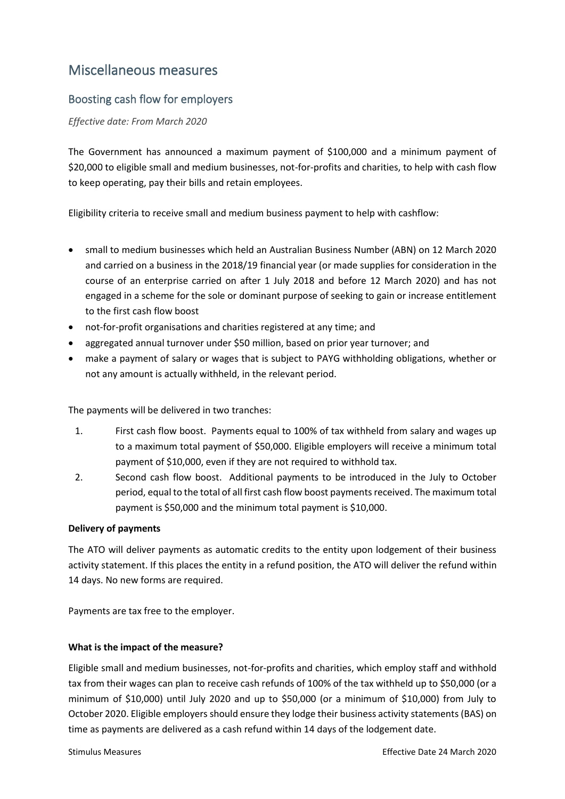# Miscellaneous measures

# Boosting cash flow for employers

*Effective date: From March 2020*

The Government has announced a maximum payment of \$100,000 and a minimum payment of \$20,000 to eligible small and medium businesses, not-for-profits and charities, to help with cash flow to keep operating, pay their bills and retain employees.

Eligibility criteria to receive small and medium business payment to help with cashflow:

- small to medium businesses which held an Australian Business Number (ABN) on 12 March 2020 and carried on a business in the 2018/19 financial year (or made supplies for consideration in the course of an enterprise carried on after 1 July 2018 and before 12 March 2020) and has not engaged in a scheme for the sole or dominant purpose of seeking to gain or increase entitlement to the first cash flow boost
- not-for-profit organisations and charities registered at any time; and
- aggregated annual turnover under \$50 million, based on prior year turnover; and
- make a payment of salary or wages that is subject to PAYG withholding obligations, whether or not any amount is actually withheld, in the relevant period.

The payments will be delivered in two tranches:

- 1. First cash flow boost. Payments equal to 100% of tax withheld from salary and wages up to a maximum total payment of \$50,000. Eligible employers will receive a minimum total payment of \$10,000, even if they are not required to withhold tax.
- 2. Second cash flow boost. Additional payments to be introduced in the July to October period, equal to the total of all first cash flow boost payments received. The maximum total payment is \$50,000 and the minimum total payment is \$10,000.

#### **Delivery of payments**

The ATO will deliver payments as automatic credits to the entity upon lodgement of their business activity statement. If this places the entity in a refund position, the ATO will deliver the refund within 14 days. No new forms are required.

Payments are tax free to the employer.

#### **What is the impact of the measure?**

Eligible small and medium businesses, not-for-profits and charities, which employ staff and withhold tax from their wages can plan to receive cash refunds of 100% of the tax withheld up to \$50,000 (or a minimum of \$10,000) until July 2020 and up to \$50,000 (or a minimum of \$10,000) from July to October 2020. Eligible employers should ensure they lodge their business activity statements (BAS) on time as payments are delivered as a cash refund within 14 days of the lodgement date.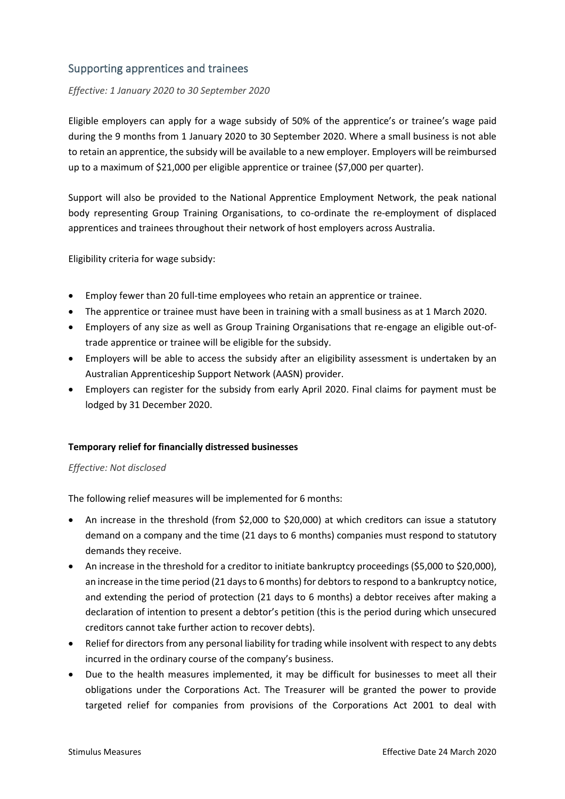# Supporting apprentices and trainees

#### *Effective: 1 January 2020 to 30 September 2020*

Eligible employers can apply for a wage subsidy of 50% of the apprentice's or trainee's wage paid during the 9 months from 1 January 2020 to 30 September 2020. Where a small business is not able to retain an apprentice, the subsidy will be available to a new employer. Employers will be reimbursed up to a maximum of \$21,000 per eligible apprentice or trainee (\$7,000 per quarter).

Support will also be provided to the National Apprentice Employment Network, the peak national body representing Group Training Organisations, to co-ordinate the re-employment of displaced apprentices and trainees throughout their network of host employers across Australia.

Eligibility criteria for wage subsidy:

- Employ fewer than 20 full-time employees who retain an apprentice or trainee.
- The apprentice or trainee must have been in training with a small business as at 1 March 2020.
- Employers of any size as well as Group Training Organisations that re-engage an eligible out-oftrade apprentice or trainee will be eligible for the subsidy.
- Employers will be able to access the subsidy after an eligibility assessment is undertaken by an Australian Apprenticeship Support Network (AASN) provider.
- Employers can register for the subsidy from early April 2020. Final claims for payment must be lodged by 31 December 2020.

#### **Temporary relief for financially distressed businesses**

#### *Effective: Not disclosed*

The following relief measures will be implemented for 6 months:

- An increase in the threshold (from \$2,000 to \$20,000) at which creditors can issue a statutory demand on a company and the time (21 days to 6 months) companies must respond to statutory demands they receive.
- An increase in the threshold for a creditor to initiate bankruptcy proceedings (\$5,000 to \$20,000), an increase in the time period (21 days to 6 months) for debtors to respond to a bankruptcy notice, and extending the period of protection (21 days to 6 months) a debtor receives after making a declaration of intention to present a debtor's petition (this is the period during which unsecured creditors cannot take further action to recover debts).
- Relief for directors from any personal liability for trading while insolvent with respect to any debts incurred in the ordinary course of the company's business.
- Due to the health measures implemented, it may be difficult for businesses to meet all their obligations under the Corporations Act. The Treasurer will be granted the power to provide targeted relief for companies from provisions of the Corporations Act 2001 to deal with